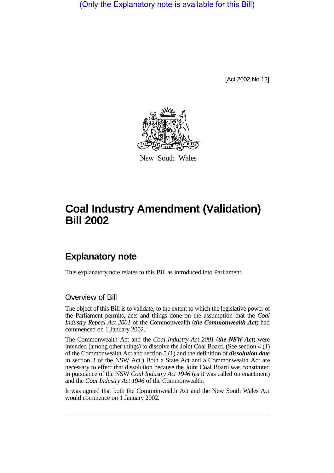(Only the Explanatory note is available for this Bill)

[Act 2002 No 12]



New South Wales

## **Coal Industry Amendment (Validation) Bill 2002**

## **Explanatory note**

This explanatory note relates to this Bill as introduced into Parliament.

## Overview of Bill

The object of this Bill is to validate, to the extent to which the legislative power of the Parliament permits, acts and things done on the assumption that the *Coal Industry Repeal Act 2001* of the Commonwealth (*the Commonwealth Act*) had commenced on 1 January 2002.

The Commonwealth Act and the *Coal Industry Act 2001* (*the NSW Act*) were intended (among other things) to dissolve the Joint Coal Board. (See section 4 (1) of the Commonwealth Act and section 5 (1) and the definition of *dissolution date* in section 3 of the NSW Act.) Both a State Act and a Commonwealth Act are necessary to effect that dissolution because the Joint Coal Board was constituted in pursuance of the NSW *Coal Industry Act 1946* (as it was called on enactment) and the *Coal Industry Act 1946* of the Commonwealth.

It was agreed that both the Commonwealth Act and the New South Wales Act would commence on 1 January 2002.